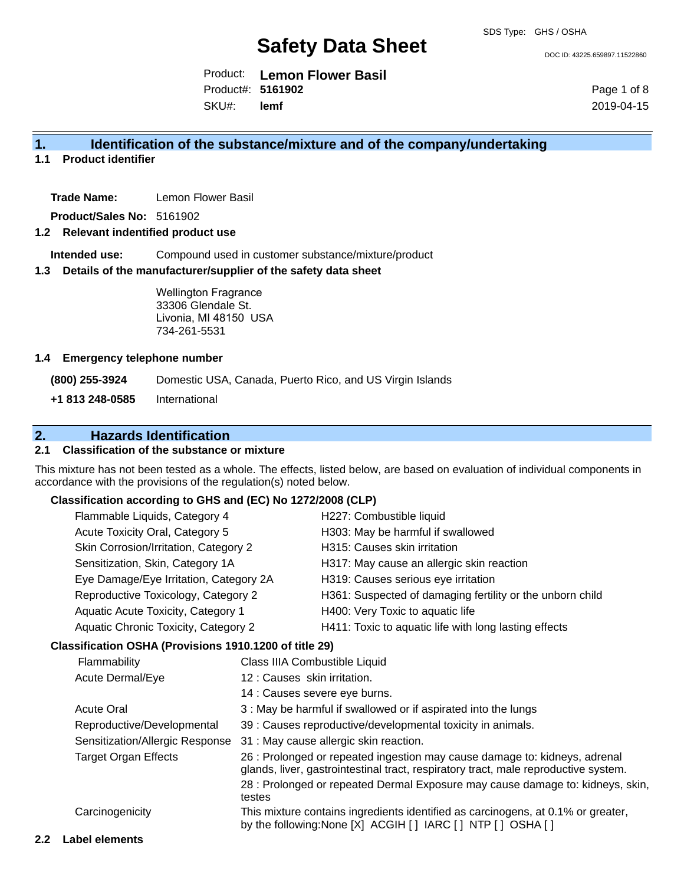DOC ID: 43225.659897.11522860

Product: **Lemon Flower Basil** SKU#: Product#: **5161902 lemf**

Page 1 of 8 2019-04-15

#### **1. Identification of the substance/mixture and of the company/undertaking**

**1.1 Product identifier**

**Trade Name:** Lemon Flower Basil

**Product/Sales No:** 5161902

#### **1.2 Relevant indentified product use**

**Intended use:** Compound used in customer substance/mixture/product

#### **1.3 Details of the manufacturer/supplier of the safety data sheet**

Wellington Fragrance 33306 Glendale St. Livonia, MI 48150 USA 734-261-5531

#### **1.4 Emergency telephone number**

**(800) 255-3924** Domestic USA, Canada, Puerto Rico, and US Virgin Islands **+1 813 248-0585** International

#### **2. Hazards Identification 2.1 Classification of the substance or mixture**

This mixture has not been tested as a whole. The effects, listed below, are based on evaluation of individual components in accordance with the provisions of the regulation(s) noted below.

#### **Classification according to GHS and (EC) No 1272/2008 (CLP)**

|                                                          | Flammable Liquids, Category 4                          |                               | H227: Combustible liquid                                                                                                                                                                                                                            |
|----------------------------------------------------------|--------------------------------------------------------|-------------------------------|-----------------------------------------------------------------------------------------------------------------------------------------------------------------------------------------------------------------------------------------------------|
|                                                          | Acute Toxicity Oral, Category 5                        |                               | H303: May be harmful if swallowed                                                                                                                                                                                                                   |
|                                                          | Skin Corrosion/Irritation, Category 2                  |                               | H315: Causes skin irritation                                                                                                                                                                                                                        |
|                                                          | Sensitization, Skin, Category 1A                       |                               | H317: May cause an allergic skin reaction                                                                                                                                                                                                           |
|                                                          | Eye Damage/Eye Irritation, Category 2A                 |                               | H319: Causes serious eye irritation                                                                                                                                                                                                                 |
|                                                          | Reproductive Toxicology, Category 2                    |                               | H361: Suspected of damaging fertility or the unborn child                                                                                                                                                                                           |
|                                                          | Aquatic Acute Toxicity, Category 1                     |                               | H400: Very Toxic to aquatic life                                                                                                                                                                                                                    |
|                                                          | Aquatic Chronic Toxicity, Category 2                   |                               | H411: Toxic to aquatic life with long lasting effects                                                                                                                                                                                               |
|                                                          | Classification OSHA (Provisions 1910.1200 of title 29) |                               |                                                                                                                                                                                                                                                     |
|                                                          | Flammability                                           | Class IIIA Combustible Liquid |                                                                                                                                                                                                                                                     |
|                                                          | 12 : Causes skin irritation.<br>Acute Dermal/Eye       |                               |                                                                                                                                                                                                                                                     |
|                                                          |                                                        |                               | 14 : Causes severe eye burns.                                                                                                                                                                                                                       |
|                                                          | <b>Acute Oral</b>                                      |                               | 3 : May be harmful if swallowed or if aspirated into the lungs                                                                                                                                                                                      |
| Reproductive/Developmental                               |                                                        |                               | 39 : Causes reproductive/developmental toxicity in animals.                                                                                                                                                                                         |
|                                                          | Sensitization/Allergic Response                        |                               | 31 : May cause allergic skin reaction.                                                                                                                                                                                                              |
| <b>Target Organ Effects</b><br>testes<br>Carcinogenicity |                                                        |                               | 26 : Prolonged or repeated ingestion may cause damage to: kidneys, adrenal<br>glands, liver, gastrointestinal tract, respiratory tract, male reproductive system.<br>28 : Prolonged or repeated Dermal Exposure may cause damage to: kidneys, skin, |
|                                                          |                                                        |                               | This mixture contains ingredients identified as carcinogens, at 0.1% or greater,<br>by the following: None [X] ACGIH [] IARC [] NTP [] OSHA []                                                                                                      |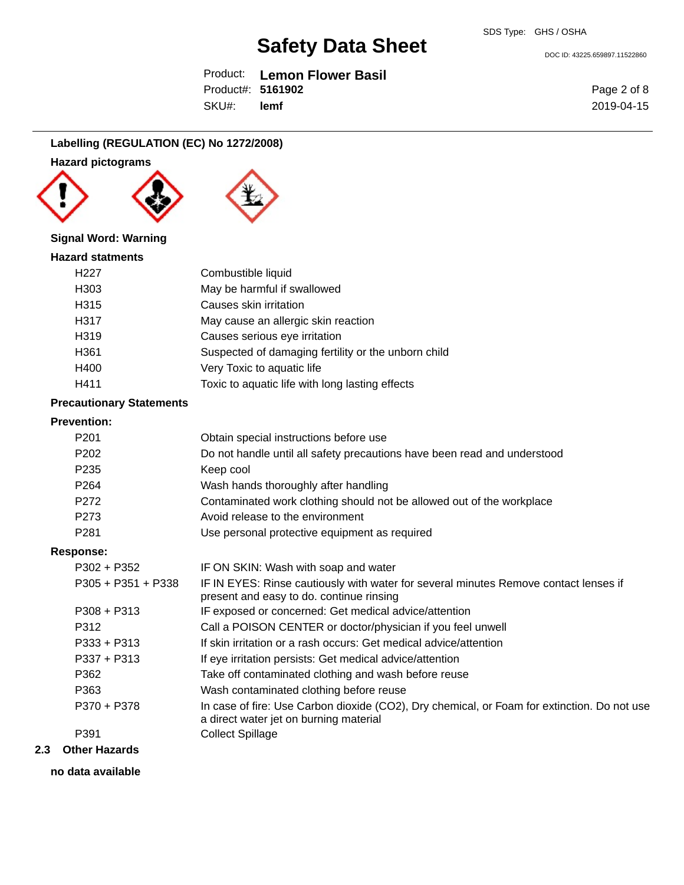DOC ID: 43225.659897.11522860

Product: **Lemon Flower Basil** SKU#: Product#: **5161902 lemf**

Page 2 of 8 2019-04-15

### **Labelling (REGULATION (EC) No 1272/2008)**

### **Hazard pictograms**







#### **Signal Word: Warning**

| <b>Hazard statments</b> |                                                     |
|-------------------------|-----------------------------------------------------|
| H <sub>22</sub> 7       | Combustible liquid                                  |
| H303                    | May be harmful if swallowed                         |
| H315                    | Causes skin irritation                              |
| H317                    | May cause an allergic skin reaction                 |
| H <sub>319</sub>        | Causes serious eye irritation                       |
| H <sub>361</sub>        | Suspected of damaging fertility or the unborn child |
| H400                    | Very Toxic to aquatic life                          |
| H411                    | Toxic to aquatic life with long lasting effects     |

#### **Precautionary Statements**

#### **Prevention:**

| P <sub>201</sub>     | Obtain special instructions before use                                                                                                |
|----------------------|---------------------------------------------------------------------------------------------------------------------------------------|
| P <sub>202</sub>     | Do not handle until all safety precautions have been read and understood                                                              |
| P <sub>235</sub>     | Keep cool                                                                                                                             |
| P <sub>264</sub>     | Wash hands thoroughly after handling                                                                                                  |
| P272                 | Contaminated work clothing should not be allowed out of the workplace                                                                 |
| P273                 | Avoid release to the environment                                                                                                      |
| P <sub>281</sub>     | Use personal protective equipment as required                                                                                         |
| Response:            |                                                                                                                                       |
| $P302 + P352$        | IF ON SKIN: Wash with soap and water                                                                                                  |
| $P305 + P351 + P338$ | IF IN EYES: Rinse cautiously with water for several minutes Remove contact lenses if<br>present and easy to do. continue rinsing      |
| $P308 + P313$        | IF exposed or concerned: Get medical advice/attention                                                                                 |
| P312                 | Call a POISON CENTER or doctor/physician if you feel unwell                                                                           |
| $P333 + P313$        | If skin irritation or a rash occurs: Get medical advice/attention                                                                     |
| $P337 + P313$        | If eye irritation persists: Get medical advice/attention                                                                              |
| P362                 | Take off contaminated clothing and wash before reuse                                                                                  |
| P363                 | Wash contaminated clothing before reuse                                                                                               |
| P370 + P378          | In case of fire: Use Carbon dioxide (CO2), Dry chemical, or Foam for extinction. Do not use<br>a direct water jet on burning material |
| P391                 | <b>Collect Spillage</b>                                                                                                               |
|                      |                                                                                                                                       |

#### **2.3 Other Hazards**

**no data available**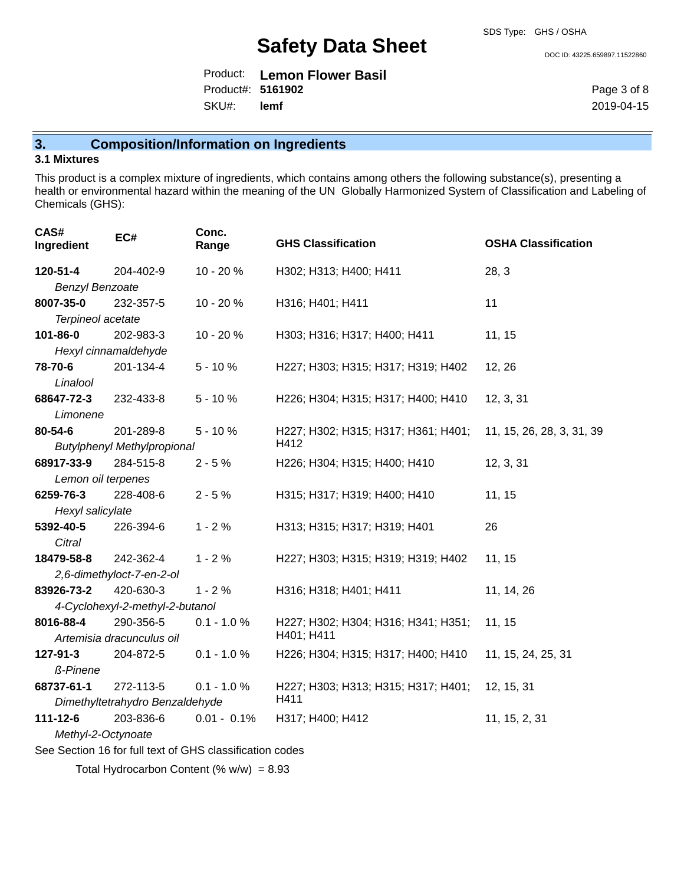DOC ID: 43225.659897.11522860

|                   | Product: Lemon Flower Basil |
|-------------------|-----------------------------|
| Product#: 5161902 |                             |
| SKU#: lemf        |                             |

Page 3 of 8 2019-04-15

# **3. Composition/Information on Ingredients**

#### **3.1 Mixtures**

This product is a complex mixture of ingredients, which contains among others the following substance(s), presenting a health or environmental hazard within the meaning of the UN Globally Harmonized System of Classification and Labeling of Chemicals (GHS):

| CAS#<br>Ingredient                                       | EC#                                | Conc.<br>Range | <b>GHS Classification</b>           | <b>OSHA Classification</b> |  |
|----------------------------------------------------------|------------------------------------|----------------|-------------------------------------|----------------------------|--|
| 120-51-4                                                 | 204-402-9                          | 10 - 20 %      | H302; H313; H400; H411              | 28, 3                      |  |
| <b>Benzyl Benzoate</b>                                   |                                    |                |                                     |                            |  |
| 8007-35-0                                                | 232-357-5                          | 10 - 20 %      | H316; H401; H411                    | 11                         |  |
| Terpineol acetate                                        |                                    |                |                                     |                            |  |
| 101-86-0                                                 | 202-983-3                          | 10 - 20 %      | H303; H316; H317; H400; H411        | 11, 15                     |  |
|                                                          | Hexyl cinnamaldehyde               |                |                                     |                            |  |
| 78-70-6                                                  | 201-134-4                          | $5 - 10%$      | H227; H303; H315; H317; H319; H402  | 12, 26                     |  |
| Linalool                                                 |                                    |                |                                     |                            |  |
| 68647-72-3                                               | 232-433-8                          | $5 - 10%$      | H226; H304; H315; H317; H400; H410  | 12, 3, 31                  |  |
| Limonene                                                 |                                    |                |                                     |                            |  |
| 80-54-6                                                  | 201-289-8                          | $5 - 10%$      | H227; H302; H315; H317; H361; H401; | 11, 15, 26, 28, 3, 31, 39  |  |
|                                                          | <b>Butylphenyl Methylpropional</b> |                | H412                                |                            |  |
| 68917-33-9                                               | 284-515-8                          | $2 - 5%$       | H226; H304; H315; H400; H410        | 12, 3, 31                  |  |
| Lemon oil terpenes                                       |                                    |                |                                     |                            |  |
| 6259-76-3                                                | 228-408-6                          | $2 - 5%$       | H315; H317; H319; H400; H410        | 11, 15                     |  |
|                                                          | Hexyl salicylate                   |                |                                     |                            |  |
| 5392-40-5                                                | 226-394-6                          | $1 - 2%$       | H313; H315; H317; H319; H401        | 26                         |  |
| Citral                                                   |                                    |                |                                     |                            |  |
| 18479-58-8                                               | 242-362-4                          | $1 - 2%$       | H227; H303; H315; H319; H319; H402  | 11, 15                     |  |
|                                                          | 2,6-dimethyloct-7-en-2-ol          |                |                                     |                            |  |
| 83926-73-2                                               | 420-630-3                          | $1 - 2%$       | H316; H318; H401; H411              | 11, 14, 26                 |  |
|                                                          | 4-Cyclohexyl-2-methyl-2-butanol    |                |                                     |                            |  |
| 8016-88-4                                                | 290-356-5                          | $0.1 - 1.0 %$  | H227; H302; H304; H316; H341; H351; | 11, 15                     |  |
|                                                          | Artemisia dracunculus oil          |                | H401; H411                          |                            |  |
| 127-91-3                                                 | 204-872-5                          | $0.1 - 1.0 %$  | H226; H304; H315; H317; H400; H410  | 11, 15, 24, 25, 31         |  |
| ß-Pinene                                                 |                                    |                |                                     |                            |  |
| 68737-61-1                                               | 272-113-5                          | $0.1 - 1.0 %$  | H227; H303; H313; H315; H317; H401; | 12, 15, 31                 |  |
|                                                          | Dimethyltetrahydro Benzaldehyde    |                | H411                                |                            |  |
| $111 - 12 - 6$                                           | 203-836-6                          | $0.01 - 0.1\%$ | H317; H400; H412                    | 11, 15, 2, 31              |  |
|                                                          | Methyl-2-Octynoate                 |                |                                     |                            |  |
| See Section 16 for full text of GHS classification codes |                                    |                |                                     |                            |  |

Total Hydrocarbon Content (%  $w/w$ ) = 8.93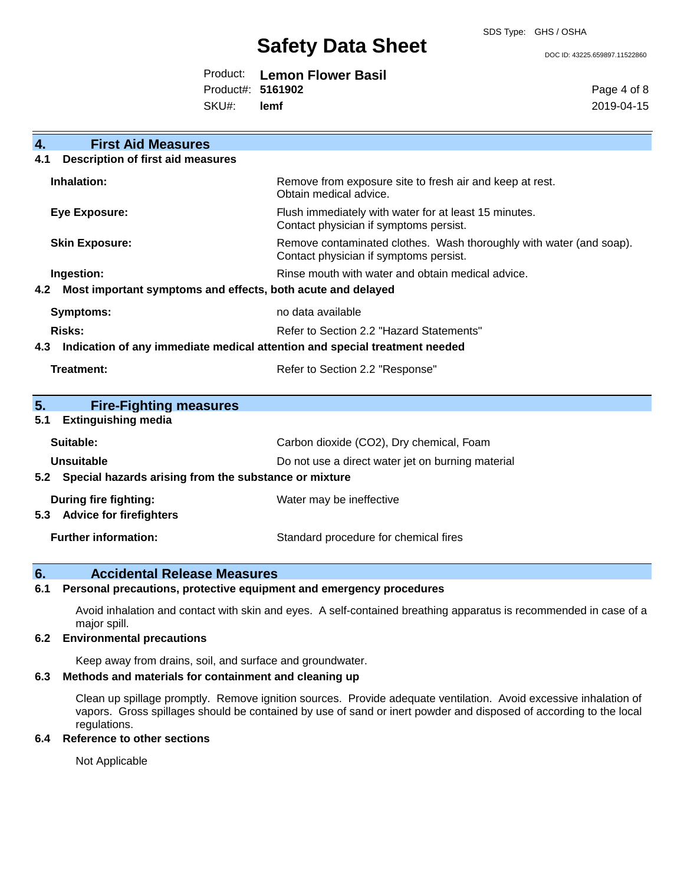SDS Type: GHS / OSHA

# **Safety Data Sheet**

DOC ID: 43225.659897.11522860

|                   | Product: Lemon Flower Basil |
|-------------------|-----------------------------|
| Product#: 5161902 |                             |
| SKU#: lemf        |                             |

Page 4 of 8 2019-04-15

| $\overline{4}$ . | <b>First Aid Measures</b>                                                  |                                                                                                               |
|------------------|----------------------------------------------------------------------------|---------------------------------------------------------------------------------------------------------------|
| 4.1              | <b>Description of first aid measures</b>                                   |                                                                                                               |
|                  | Inhalation:                                                                | Remove from exposure site to fresh air and keep at rest.<br>Obtain medical advice.                            |
|                  | <b>Eye Exposure:</b>                                                       | Flush immediately with water for at least 15 minutes.<br>Contact physician if symptoms persist.               |
|                  | <b>Skin Exposure:</b>                                                      | Remove contaminated clothes. Wash thoroughly with water (and soap).<br>Contact physician if symptoms persist. |
|                  | Ingestion:                                                                 | Rinse mouth with water and obtain medical advice.                                                             |
| 4.2              | Most important symptoms and effects, both acute and delayed                |                                                                                                               |
|                  | <b>Symptoms:</b>                                                           | no data available                                                                                             |
|                  | <b>Risks:</b>                                                              | Refer to Section 2.2 "Hazard Statements"                                                                      |
| 4.3              | Indication of any immediate medical attention and special treatment needed |                                                                                                               |
|                  | <b>Treatment:</b>                                                          | Refer to Section 2.2 "Response"                                                                               |
| 5.<br>5.1        | <b>Fire-Fighting measures</b><br><b>Extinguishing media</b>                |                                                                                                               |
|                  | Suitable:                                                                  | Carbon dioxide (CO2), Dry chemical, Foam                                                                      |
|                  | Unsuitable                                                                 | Do not use a direct water jet on burning material                                                             |
| 5.2              | Special hazards arising from the substance or mixture                      |                                                                                                               |
| 5.3              | During fire fighting:<br><b>Advice for firefighters</b>                    | Water may be ineffective                                                                                      |
|                  | <b>Further information:</b>                                                | Standard procedure for chemical fires                                                                         |

#### **6. Accidental Release Measures**

### **6.1 Personal precautions, protective equipment and emergency procedures**

Avoid inhalation and contact with skin and eyes. A self-contained breathing apparatus is recommended in case of a major spill.

#### **6.2 Environmental precautions**

Keep away from drains, soil, and surface and groundwater.

#### **6.3 Methods and materials for containment and cleaning up**

Clean up spillage promptly. Remove ignition sources. Provide adequate ventilation. Avoid excessive inhalation of vapors. Gross spillages should be contained by use of sand or inert powder and disposed of according to the local regulations.

#### **6.4 Reference to other sections**

Not Applicable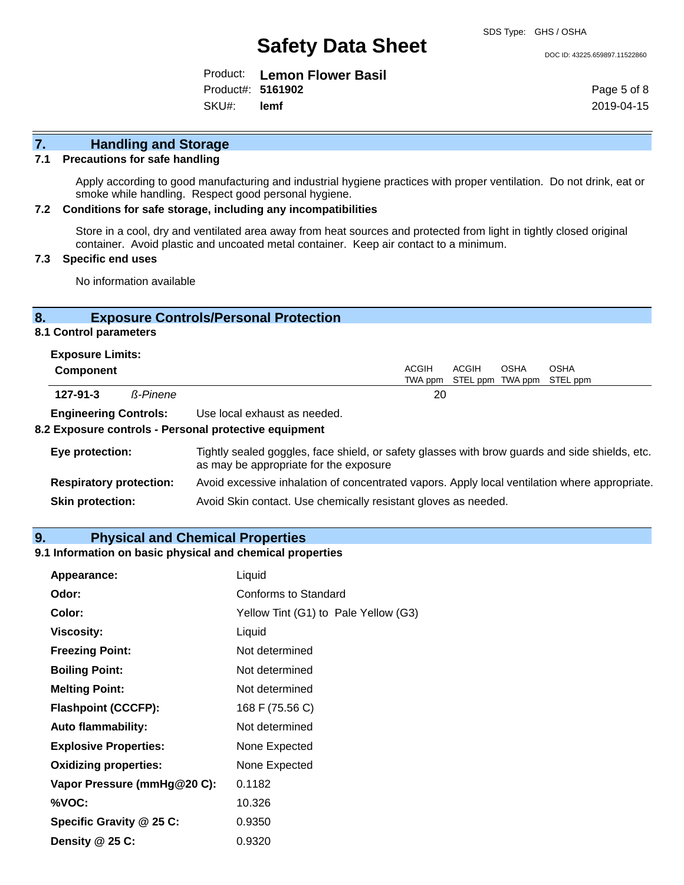DOC ID: 43225.659897.11522860

Product: **Lemon Flower Basil** SKU#: Product#: **5161902 lemf**

Page 5 of 8 2019-04-15

# **7. Handling and Storage**

#### **7.1 Precautions for safe handling**

Apply according to good manufacturing and industrial hygiene practices with proper ventilation. Do not drink, eat or smoke while handling. Respect good personal hygiene.

#### **7.2 Conditions for safe storage, including any incompatibilities**

Store in a cool, dry and ventilated area away from heat sources and protected from light in tightly closed original container. Avoid plastic and uncoated metal container. Keep air contact to a minimum.

#### **7.3 Specific end uses**

No information available

### **8. Exposure Controls/Personal Protection**

#### **8.1 Control parameters**

| <b>Exposure Limits:</b>      |  |                              |       |       |             |                                   |
|------------------------------|--|------------------------------|-------|-------|-------------|-----------------------------------|
| <b>Component</b>             |  |                              | ACGIH | ACGIH | <b>OSHA</b> | <b>OSHA</b>                       |
|                              |  |                              |       |       |             | TWA ppm STEL ppm TWA ppm STEL ppm |
| $127 - 91 - 3$<br>ß-Pinene   |  |                              | 20    |       |             |                                   |
| <b>Engineering Controls:</b> |  | Use local exhaust as needed. |       |       |             |                                   |

#### **8.2 Exposure controls - Personal protective equipment**

| Eye protection:                | Tightly sealed goggles, face shield, or safety glasses with brow guards and side shields, etc.<br>as may be appropriate for the exposure |
|--------------------------------|------------------------------------------------------------------------------------------------------------------------------------------|
| <b>Respiratory protection:</b> | Avoid excessive inhalation of concentrated vapors. Apply local ventilation where appropriate.                                            |
| <b>Skin protection:</b>        | Avoid Skin contact. Use chemically resistant gloves as needed.                                                                           |

#### **9. Physical and Chemical Properties**

#### **9.1 Information on basic physical and chemical properties**

| Appearance:                  | Liquid                               |
|------------------------------|--------------------------------------|
| Odor:                        | Conforms to Standard                 |
| Color:                       | Yellow Tint (G1) to Pale Yellow (G3) |
| <b>Viscosity:</b>            | Liquid                               |
| <b>Freezing Point:</b>       | Not determined                       |
| <b>Boiling Point:</b>        | Not determined                       |
| <b>Melting Point:</b>        | Not determined                       |
| <b>Flashpoint (CCCFP):</b>   | 168 F (75.56 C)                      |
| <b>Auto flammability:</b>    | Not determined                       |
| <b>Explosive Properties:</b> | None Expected                        |
| <b>Oxidizing properties:</b> | None Expected                        |
| Vapor Pressure (mmHg@20 C):  | 0.1182                               |
| %VOC:                        | 10.326                               |
| Specific Gravity @ 25 C:     | 0.9350                               |
| Density $@25C$ :             | 0.9320                               |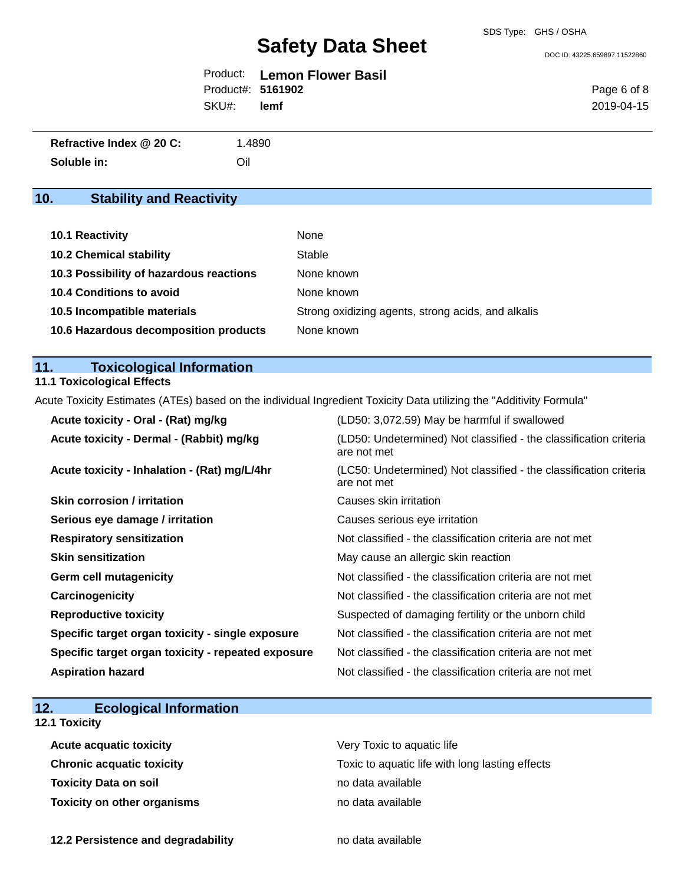DOC ID: 43225.659897.11522860

|                   | <b>Product:</b> Lemon Flower Basil |
|-------------------|------------------------------------|
| Product#: 5161902 |                                    |
| SKU#: lemf        |                                    |

Page 6 of 8 2019-04-15

| Refractive Index @ 20 C: | 1.4890 |
|--------------------------|--------|
| Soluble in:              | Oil    |

# **10. Stability and Reactivity**

| <b>10.1 Reactivity</b>                  | None                                               |
|-----------------------------------------|----------------------------------------------------|
| <b>10.2 Chemical stability</b>          | Stable                                             |
| 10.3 Possibility of hazardous reactions | None known                                         |
| 10.4 Conditions to avoid                | None known                                         |
| 10.5 Incompatible materials             | Strong oxidizing agents, strong acids, and alkalis |
| 10.6 Hazardous decomposition products   | None known                                         |

# **11. Toxicological Information**

### **11.1 Toxicological Effects**

Acute Toxicity Estimates (ATEs) based on the individual Ingredient Toxicity Data utilizing the "Additivity Formula"

| Acute toxicity - Oral - (Rat) mg/kg                | (LD50: 3,072.59) May be harmful if swallowed                                     |
|----------------------------------------------------|----------------------------------------------------------------------------------|
| Acute toxicity - Dermal - (Rabbit) mg/kg           | (LD50: Undetermined) Not classified - the classification criteria<br>are not met |
| Acute toxicity - Inhalation - (Rat) mg/L/4hr       | (LC50: Undetermined) Not classified - the classification criteria<br>are not met |
| <b>Skin corrosion / irritation</b>                 | Causes skin irritation                                                           |
| Serious eye damage / irritation                    | Causes serious eye irritation                                                    |
| <b>Respiratory sensitization</b>                   | Not classified - the classification criteria are not met                         |
| <b>Skin sensitization</b>                          | May cause an allergic skin reaction                                              |
| <b>Germ cell mutagenicity</b>                      | Not classified - the classification criteria are not met                         |
| Carcinogenicity                                    | Not classified - the classification criteria are not met                         |
| <b>Reproductive toxicity</b>                       | Suspected of damaging fertility or the unborn child                              |
| Specific target organ toxicity - single exposure   | Not classified - the classification criteria are not met                         |
| Specific target organ toxicity - repeated exposure | Not classified - the classification criteria are not met                         |
| <b>Aspiration hazard</b>                           | Not classified - the classification criteria are not met                         |

|  | 12. | <b>Ecological Information</b> |  |
|--|-----|-------------------------------|--|
|--|-----|-------------------------------|--|

#### **12.1 Toxicity**

| <b>Acute acquatic toxicity</b>     | Very Toxic to aquatic life                      |
|------------------------------------|-------------------------------------------------|
| <b>Chronic acquatic toxicity</b>   | Toxic to aquatic life with long lasting effects |
| <b>Toxicity Data on soil</b>       | no data available                               |
| <b>Toxicity on other organisms</b> | no data available                               |

**12.2 Persistence and degradability no data available**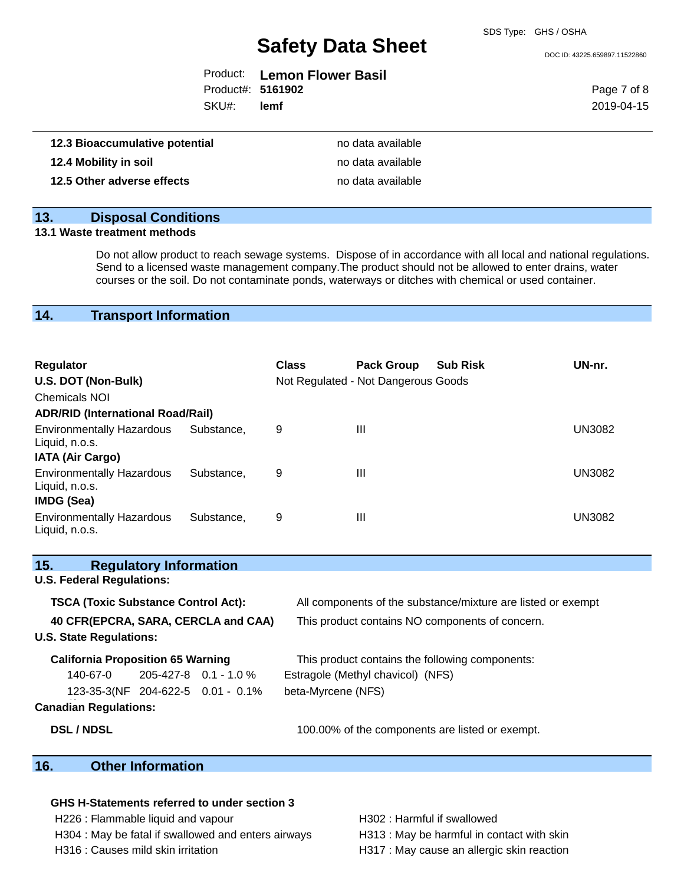DOC ID: 43225.659897.11522860

|                   | Product: Lemon Flower Basil |
|-------------------|-----------------------------|
| Product#: 5161902 |                             |
| SKU#: lemf        |                             |

Page 7 of 8 2019-04-15

| 12.3 Bioaccumulative potential | no data available |
|--------------------------------|-------------------|
| 12.4 Mobility in soil          | no data available |
| 12.5 Other adverse effects     | no data available |

### **13. Disposal Conditions**

### **13.1 Waste treatment methods**

Do not allow product to reach sewage systems. Dispose of in accordance with all local and national regulations. Send to a licensed waste management company.The product should not be allowed to enter drains, water courses or the soil. Do not contaminate ponds, waterways or ditches with chemical or used container.

## **14. Transport Information**

| <b>Regulator</b><br>U.S. DOT (Non-Bulk)<br><b>Chemicals NOI</b>  |            | <b>Class</b> | <b>Pack Group</b><br>Not Regulated - Not Dangerous Goods | <b>Sub Risk</b> | UN-nr. |
|------------------------------------------------------------------|------------|--------------|----------------------------------------------------------|-----------------|--------|
| <b>ADR/RID (International Road/Rail)</b>                         |            |              |                                                          |                 |        |
| <b>Environmentally Hazardous</b><br>Liquid, n.o.s.               | Substance. | 9            | Ш                                                        |                 | UN3082 |
| <b>IATA (Air Cargo)</b>                                          |            |              |                                                          |                 |        |
| <b>Environmentally Hazardous</b><br>Liquid, n.o.s.<br>IMDG (Sea) | Substance. | 9            | Ш                                                        |                 | UN3082 |
| <b>Environmentally Hazardous</b><br>Liquid, n.o.s.               | Substance. | 9            | Ш                                                        |                 | UN3082 |

| 15.<br><b>Regulatory Information</b>       |                                                              |
|--------------------------------------------|--------------------------------------------------------------|
| <b>U.S. Federal Regulations:</b>           |                                                              |
| <b>TSCA (Toxic Substance Control Act):</b> | All components of the substance/mixture are listed or exempt |
| 40 CFR(EPCRA, SARA, CERCLA and CAA)        | This product contains NO components of concern.              |
| <b>U.S. State Regulations:</b>             |                                                              |
| <b>California Proposition 65 Warning</b>   | This product contains the following components:              |
| $140-67-0$ 205-427-8 0.1 - 1.0 %           | Estragole (Methyl chavicol) (NFS)                            |
| 123-35-3(NF 204-622-5 0.01 - 0.1%          | beta-Myrcene (NFS)                                           |
| <b>Canadian Regulations:</b>               |                                                              |
| <b>DSL / NDSL</b>                          | 100.00% of the components are listed or exempt.              |
| 16<br>Other Information                    |                                                              |

### **16. Other Information**

#### **GHS H-Statements referred to under section 3**

H226 : Flammable liquid and vapour H302 : Harmful if swallowed H304 : May be fatal if swallowed and enters airways H313 : May be harmful in contact with skin

H316 : Causes mild skin irritation **H**317 : May cause an allergic skin reaction